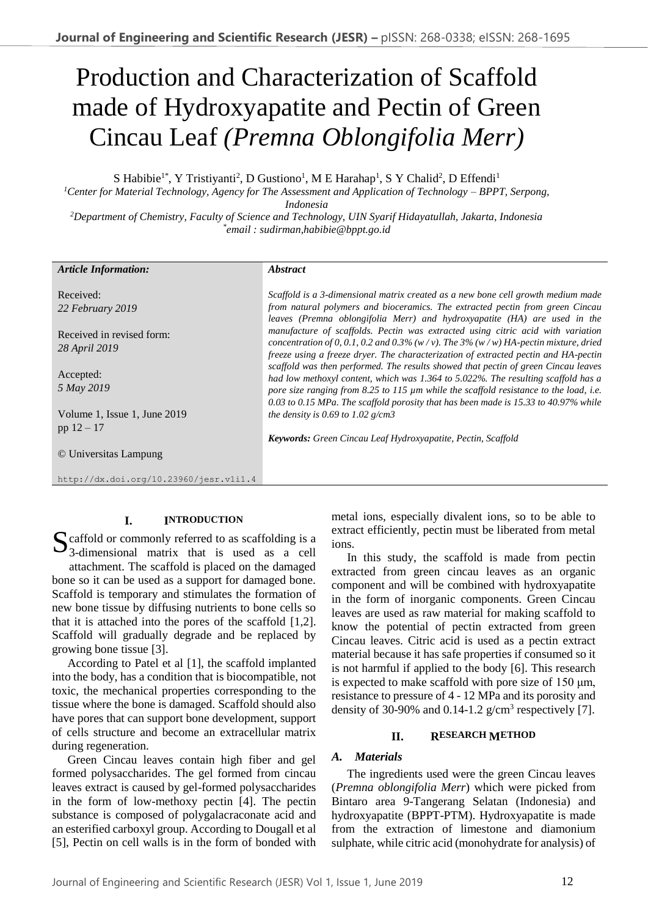# Production and Characterization of Scaffold made of Hydroxyapatite and Pectin of Green Cincau Leaf *(Premna Oblongifolia Merr)*

S Habibie<sup>1\*</sup>, Y Tristiyanti<sup>2</sup>, D Gustiono<sup>1</sup>, M E Harahap<sup>1</sup>, S Y Chalid<sup>2</sup>, D Effendi<sup>1</sup>

*<sup>1</sup>Center for Material Technology, Agency for The Assessment and Application of Technology – BPPT, Serpong, Indonesia*

*<sup>2</sup>Department of Chemistry, Faculty of Science and Technology, UIN Syarif Hidayatullah, Jakarta, Indonesia \* email : sudirman,habibie@bppt.go.id*

| <b>Article Information:</b>                  | <i><b>Abstract</b></i>                                                                                                                                                                                                                                                                                                                                  |
|----------------------------------------------|---------------------------------------------------------------------------------------------------------------------------------------------------------------------------------------------------------------------------------------------------------------------------------------------------------------------------------------------------------|
| Received:<br>22 February 2019                | Scaffold is a 3-dimensional matrix created as a new bone cell growth medium made<br>from natural polymers and bioceramics. The extracted pectin from green Cincau<br>leaves (Premna oblongifolia Merr) and hydroxyapatite (HA) are used in the                                                                                                          |
| Received in revised form:<br>28 April 2019   | manufacture of scaffolds. Pectin was extracted using citric acid with variation<br>concentration of 0, 0.1, 0.2 and 0.3% (w/v). The 3% (w/w) HA-pectin mixture, dried<br>freeze using a freeze dryer. The characterization of extracted pectin and HA-pectin                                                                                            |
| Accepted:<br>5 May 2019                      | scaffold was then performed. The results showed that pectin of green Cincau leaves<br>had low methoxyl content, which was 1.364 to 5.022%. The resulting scaffold has a<br>pore size ranging from 8.25 to 115 µm while the scaffold resistance to the load, i.e.<br>0.03 to 0.15 MPa. The scaffold porosity that has been made is 15.33 to 40.97% while |
| Volume 1, Issue 1, June 2019<br>pp $12 - 17$ | the density is 0.69 to 1.02 $g/cm3$<br><b>Keywords:</b> Green Cincau Leaf Hydroxyapatite, Pectin, Scaffold                                                                                                                                                                                                                                              |
| © Universitas Lampung                        |                                                                                                                                                                                                                                                                                                                                                         |
| http://dx.doi.org/10.23960/jesr.vlil.4       |                                                                                                                                                                                                                                                                                                                                                         |

# **I. INTRODUCTION**

S caffold or commonly referred to as scaffolding is a 3-dimensional matrix that is used as a cell 3-dimensional matrix that is used as a cell attachment. The scaffold is placed on the damaged bone so it can be used as a support for damaged bone. Scaffold is temporary and stimulates the formation of new bone tissue by diffusing nutrients to bone cells so that it is attached into the pores of the scaffold [1,2]. Scaffold will gradually degrade and be replaced by growing bone tissue [3].

According to Patel et al [1], the scaffold implanted into the body, has a condition that is biocompatible, not toxic, the mechanical properties corresponding to the tissue where the bone is damaged. Scaffold should also have pores that can support bone development, support of cells structure and become an extracellular matrix during regeneration.

Green Cincau leaves contain high fiber and gel formed polysaccharides. The gel formed from cincau leaves extract is caused by gel-formed polysaccharides in the form of low-methoxy pectin [4]. The pectin substance is composed of polygalacraconate acid and an esterified carboxyl group. According to Dougall et al [5], Pectin on cell walls is in the form of bonded with metal ions, especially divalent ions, so to be able to extract efficiently, pectin must be liberated from metal ions.

In this study, the scaffold is made from pectin extracted from green cincau leaves as an organic component and will be combined with hydroxyapatite in the form of inorganic components. Green Cincau leaves are used as raw material for making scaffold to know the potential of pectin extracted from green Cincau leaves. Citric acid is used as a pectin extract material because it has safe properties if consumed so it is not harmful if applied to the body [6]. This research is expected to make scaffold with pore size of 150 μm, resistance to pressure of 4 - 12 MPa and its porosity and density of 30-90% and  $0.14$ -1.2 g/cm<sup>3</sup> respectively [7].

#### **II. RESEARCH METHOD**

# *A. Materials*

The ingredients used were the green Cincau leaves (*Premna oblongifolia Merr*) which were picked from Bintaro area 9-Tangerang Selatan (Indonesia) and hydroxyapatite (BPPT-PTM). Hydroxyapatite is made from the extraction of limestone and diamonium sulphate, while citric acid (monohydrate for analysis) of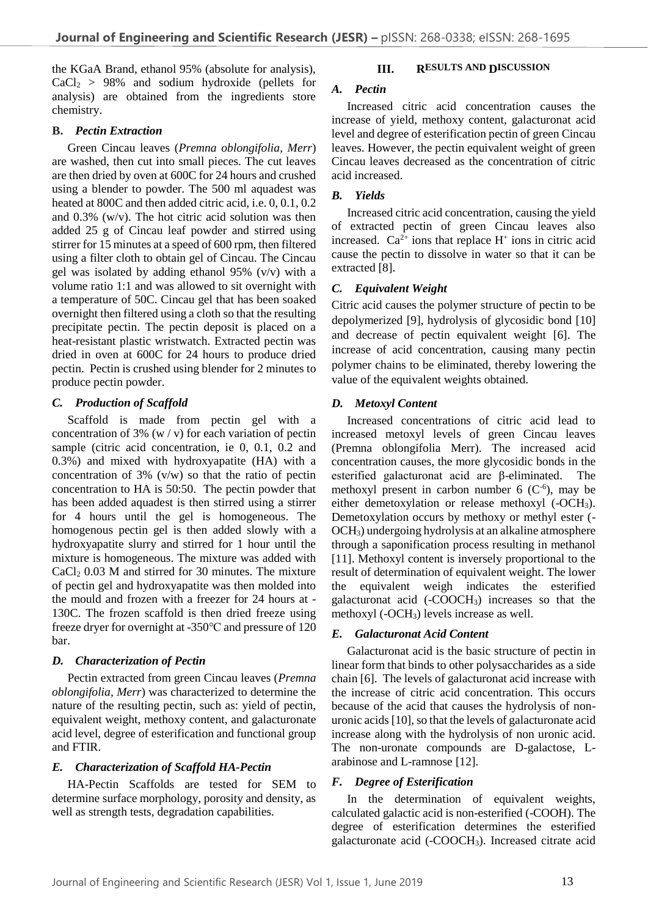the KGaA Brand, ethanol 95% (absolute for analysis),  $CaCl<sub>2</sub> > 98%$  and sodium hydroxide (pellets for analysis) are obtained from the ingredients store chemistry.

## **B.** *Pectin Extraction*

Green Cincau leaves (*Premna oblongifolia, Merr*) are washed, then cut into small pieces. The cut leaves are then dried by oven at 600C for 24 hours and crushed using a blender to powder. The 500 ml aquadest was heated at 800C and then added citric acid, i.e. 0, 0.1, 0.2 and 0.3% (w/v). The hot citric acid solution was then added 25 g of Cincau leaf powder and stirred using stirrer for 15 minutes at a speed of 600 rpm, then filtered using a filter cloth to obtain gel of Cincau. The Cincau gel was isolated by adding ethanol 95% (v/v) with a volume ratio 1:1 and was allowed to sit overnight with a temperature of 50C. Cincau gel that has been soaked overnight then filtered using a cloth so that the resulting precipitate pectin. The pectin deposit is placed on a heat-resistant plastic wristwatch. Extracted pectin was dried in oven at 600C for 24 hours to produce dried pectin. Pectin is crushed using blender for 2 minutes to produce pectin powder.

# *C. Production of Scaffold*

Scaffold is made from pectin gel with a concentration of 3%  $(w / v)$  for each variation of pectin sample (citric acid concentration, ie 0, 0.1, 0.2 and 0.3%) and mixed with hydroxyapatite (HA) with a concentration of  $3\%$  (v/w) so that the ratio of pectin concentration to HA is 50:50. The pectin powder that has been added aquadest is then stirred using a stirrer for 4 hours until the gel is homogeneous. The homogenous pectin gel is then added slowly with a hydroxyapatite slurry and stirred for 1 hour until the mixture is homogeneous. The mixture was added with  $CaCl<sub>2</sub> 0.03 M$  and stirred for 30 minutes. The mixture of pectin gel and hydroxyapatite was then molded into the mould and frozen with a freezer for 24 hours at - 130C. The frozen scaffold is then dried freeze using freeze dryer for overnight at -350℃ and pressure of 120 bar.

# *D. Characterization of Pectin*

Pectin extracted from green Cincau leaves (*Premna oblongifolia, Merr*) was characterized to determine the nature of the resulting pectin, such as: yield of pectin, equivalent weight, methoxy content, and galacturonate acid level, degree of esterification and functional group and FTIR.

# *E. Characterization of Scaffold HA-Pectin*

HA-Pectin Scaffolds are tested for SEM to determine surface morphology, porosity and density, as well as strength tests, degradation capabilities.

#### **III.** RESULTS AND **DISCUSSION**

## *A. Pectin*

Increased citric acid concentration causes the increase of yield, methoxy content, galacturonat acid level and degree of esterification pectin of green Cincau leaves. However, the pectin equivalent weight of green Cincau leaves decreased as the concentration of citric acid increased.

## *B. Yields*

Increased citric acid concentration, causing the yield of extracted pectin of green Cincau leaves also increased.  $Ca^{2+}$  ions that replace  $H^+$  ions in citric acid cause the pectin to dissolve in water so that it can be extracted [8].

## *C. Equivalent Weight*

Citric acid causes the polymer structure of pectin to be depolymerized [9], hydrolysis of glycosidic bond [10] and decrease of pectin equivalent weight [6]. The increase of acid concentration, causing many pectin polymer chains to be eliminated, thereby lowering the value of the equivalent weights obtained.

#### *D. Metoxyl Content*

Increased concentrations of citric acid lead to increased metoxyl levels of green Cincau leaves (Premna oblongifolia Merr). The increased acid concentration causes, the more glycosidic bonds in the esterified galacturonat acid are β-eliminated. The methoxyl present in carbon number  $6$  ( $C^{-6}$ ), may be either demetoxylation or release methoxyl (-OCH3). Demetoxylation occurs by methoxy or methyl ester (- OCH3) undergoing hydrolysis at an alkaline atmosphere through a saponification process resulting in methanol [11]. Methoxyl content is inversely proportional to the result of determination of equivalent weight. The lower the equivalent weigh indicates the esterified galacturonat acid (-COOCH3) increases so that the methoxyl (-OCH3) levels increase as well.

## *E. Galacturonat Acid Content*

Galacturonat acid is the basic structure of pectin in linear form that binds to other polysaccharides as a side chain [6]. The levels of galacturonat acid increase with the increase of citric acid concentration. This occurs because of the acid that causes the hydrolysis of nonuronic acids [10], so that the levels of galacturonate acid increase along with the hydrolysis of non uronic acid. The non-uronate compounds are D-galactose, Larabinose and L-ramnose [12].

#### *F. Degree of Esterification*

In the determination of equivalent weights, calculated galactic acid is non-esterified (-COOH). The degree of esterification determines the esterified galacturonate acid (-COOCH3). Increased citrate acid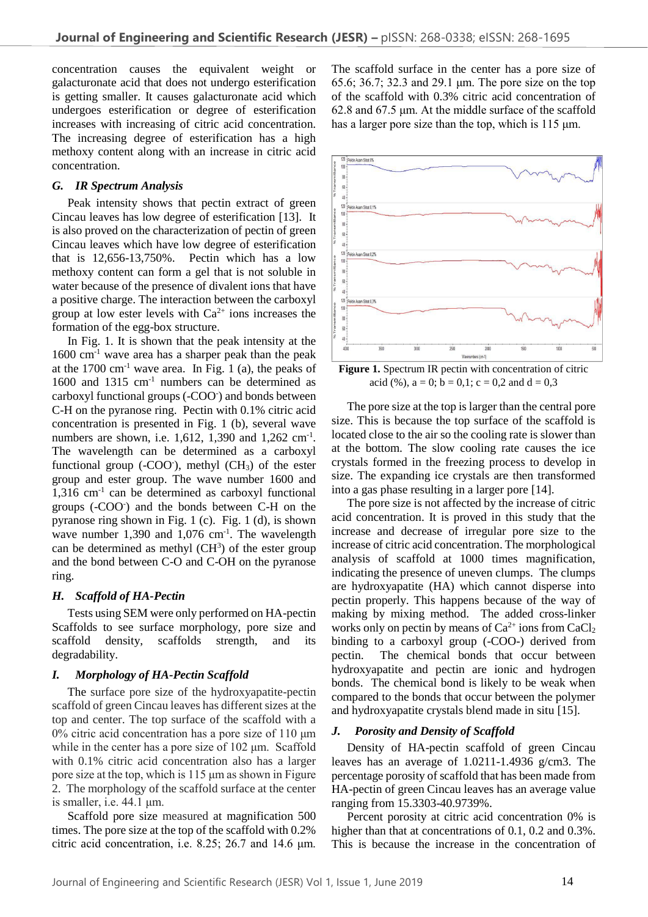concentration causes the equivalent weight or galacturonate acid that does not undergo esterification is getting smaller. It causes galacturonate acid which undergoes esterification or degree of esterification increases with increasing of citric acid concentration. The increasing degree of esterification has a high methoxy content along with an increase in citric acid concentration.

## *G. IR Spectrum Analysis*

Peak intensity shows that pectin extract of green Cincau leaves has low degree of esterification [13]. It is also proved on the characterization of pectin of green Cincau leaves which have low degree of esterification that is 12,656-13,750%. Pectin which has a low methoxy content can form a gel that is not soluble in water because of the presence of divalent ions that have a positive charge. The interaction between the carboxyl group at low ester levels with  $Ca^{2+}$  ions increases the formation of the egg-box structure.

In Fig. 1. It is shown that the peak intensity at the  $1600 \text{ cm}^{-1}$  wave area has a sharper peak than the peak at the  $1700 \text{ cm}^{-1}$  wave area. In Fig. 1 (a), the peaks of 1600 and 1315 cm<sup>-1</sup> numbers can be determined as carboxyl functional groups (-COO- ) and bonds between C-H on the pyranose ring. Pectin with 0.1% citric acid concentration is presented in Fig. 1 (b), several wave numbers are shown, i.e. 1,612, 1,390 and 1,262 cm<sup>-1</sup>. The wavelength can be determined as a carboxyl functional group  $(-COO<sub>c</sub>)$ , methyl  $(CH<sub>3</sub>)$  of the ester group and ester group. The wave number 1600 and 1,316 cm-1 can be determined as carboxyl functional groups (-COO<sup>-</sup>) and the bonds between C-H on the pyranose ring shown in Fig. 1 (c). Fig. 1 (d), is shown wave number  $1,390$  and  $1,076$  cm<sup>-1</sup>. The wavelength can be determined as methyl  $(CH<sup>3</sup>)$  of the ester group and the bond between C-O and C-OH on the pyranose ring.

#### *H. Scaffold of HA-Pectin*

Tests using SEM were only performed on HA-pectin Scaffolds to see surface morphology, pore size and scaffold density, scaffolds strength, and its degradability.

#### *I. Morphology of HA-Pectin Scaffold*

The surface pore size of the hydroxyapatite-pectin scaffold of green Cincau leaves has different sizes at the top and center. The top surface of the scaffold with a 0% citric acid concentration has a pore size of 110 μm while in the center has a pore size of 102 μm. Scaffold with 0.1% citric acid concentration also has a larger pore size at the top, which is 115 μm as shown in Figure 2. The morphology of the scaffold surface at the center is smaller, i.e. 44.1 μm.

Scaffold pore size measured at magnification 500 times. The pore size at the top of the scaffold with 0.2% citric acid concentration, i.e. 8.25; 26.7 and 14.6 μm.

The scaffold surface in the center has a pore size of 65.6; 36.7; 32.3 and 29.1 μm. The pore size on the top of the scaffold with 0.3% citric acid concentration of 62.8 and 67.5 μm. At the middle surface of the scaffold has a larger pore size than the top, which is 115 μm.



**Figure 1.** Spectrum IR pectin with concentration of citric acid (%),  $a = 0$ ;  $b = 0,1$ ;  $c = 0,2$  and  $d = 0,3$ 

The pore size at the top is larger than the central pore size. This is because the top surface of the scaffold is located close to the air so the cooling rate is slower than at the bottom. The slow cooling rate causes the ice crystals formed in the freezing process to develop in size. The expanding ice crystals are then transformed into a gas phase resulting in a larger pore [14].

The pore size is not affected by the increase of citric acid concentration. It is proved in this study that the increase and decrease of irregular pore size to the increase of citric acid concentration. The morphological analysis of scaffold at 1000 times magnification, indicating the presence of uneven clumps. The clumps are hydroxyapatite (HA) which cannot disperse into pectin properly. This happens because of the way of making by mixing method. The added cross-linker works only on pectin by means of  $Ca^{2+}$  ions from  $CaCl<sub>2</sub>$ binding to a carboxyl group (-COO-) derived from pectin. The chemical bonds that occur between hydroxyapatite and pectin are ionic and hydrogen bonds. The chemical bond is likely to be weak when compared to the bonds that occur between the polymer and hydroxyapatite crystals blend made in situ [15].

#### *J. Porosity and Density of Scaffold*

Density of HA-pectin scaffold of green Cincau leaves has an average of 1.0211-1.4936 g/cm3. The percentage porosity of scaffold that has been made from HA-pectin of green Cincau leaves has an average value ranging from 15.3303-40.9739%.

Percent porosity at citric acid concentration 0% is higher than that at concentrations of 0.1, 0.2 and 0.3%. This is because the increase in the concentration of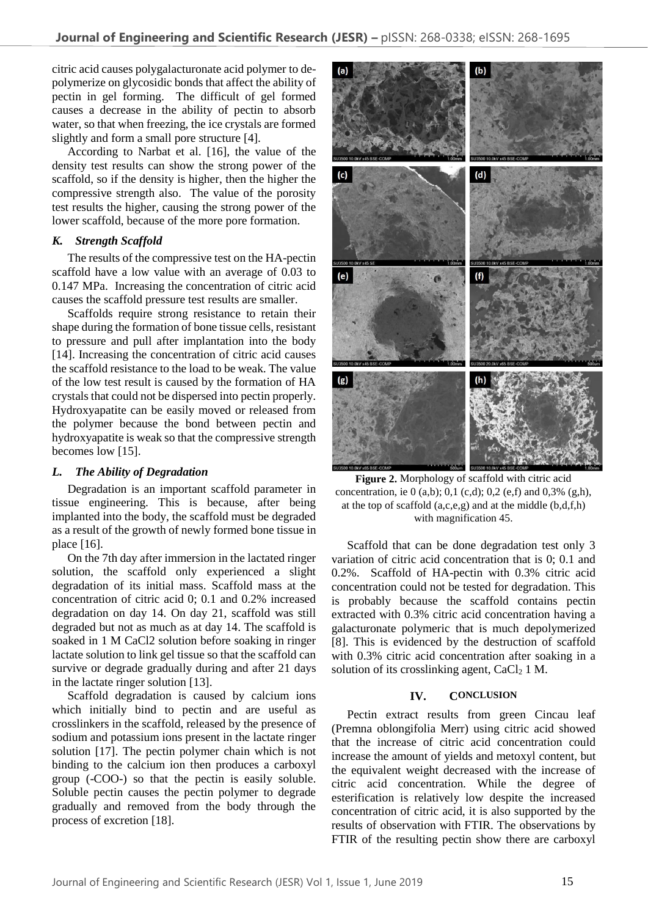citric acid causes polygalacturonate acid polymer to depolymerize on glycosidic bonds that affect the ability of pectin in gel forming. The difficult of gel formed causes a decrease in the ability of pectin to absorb water, so that when freezing, the ice crystals are formed slightly and form a small pore structure [4].

According to Narbat et al. [16], the value of the density test results can show the strong power of the scaffold, so if the density is higher, then the higher the compressive strength also. The value of the porosity test results the higher, causing the strong power of the lower scaffold, because of the more pore formation.

# *K. Strength Scaffold*

The results of the compressive test on the HA-pectin scaffold have a low value with an average of 0.03 to 0.147 MPa. Increasing the concentration of citric acid causes the scaffold pressure test results are smaller.

Scaffolds require strong resistance to retain their shape during the formation of bone tissue cells, resistant to pressure and pull after implantation into the body [14]. Increasing the concentration of citric acid causes the scaffold resistance to the load to be weak. The value of the low test result is caused by the formation of HA crystals that could not be dispersed into pectin properly. Hydroxyapatite can be easily moved or released from the polymer because the bond between pectin and hydroxyapatite is weak so that the compressive strength becomes low [15].

# *L. The Ability of Degradation*

Degradation is an important scaffold parameter in tissue engineering. This is because, after being implanted into the body, the scaffold must be degraded as a result of the growth of newly formed bone tissue in place [16].

On the 7th day after immersion in the lactated ringer solution, the scaffold only experienced a slight degradation of its initial mass. Scaffold mass at the concentration of citric acid 0; 0.1 and 0.2% increased degradation on day 14. On day 21, scaffold was still degraded but not as much as at day 14. The scaffold is soaked in 1 M CaCl2 solution before soaking in ringer lactate solution to link gel tissue so that the scaffold can survive or degrade gradually during and after 21 days in the lactate ringer solution [13].

Scaffold degradation is caused by calcium ions which initially bind to pectin and are useful as crosslinkers in the scaffold, released by the presence of sodium and potassium ions present in the lactate ringer solution [17]. The pectin polymer chain which is not binding to the calcium ion then produces a carboxyl group (-COO-) so that the pectin is easily soluble. Soluble pectin causes the pectin polymer to degrade gradually and removed from the body through the process of excretion [18].



**Figure 2.** Morphology of scaffold with citric acid concentration, ie 0 (a,b); 0,1 (c,d); 0,2 (e,f) and 0,3% (g,h), at the top of scaffold  $(a, c, e, g)$  and at the middle  $(b, d, f, h)$ with magnification 45.

Scaffold that can be done degradation test only 3 variation of citric acid concentration that is 0; 0.1 and 0.2%. Scaffold of HA-pectin with 0.3% citric acid concentration could not be tested for degradation. This is probably because the scaffold contains pectin extracted with 0.3% citric acid concentration having a galacturonate polymeric that is much depolymerized [8]. This is evidenced by the destruction of scaffold with 0.3% citric acid concentration after soaking in a solution of its crosslinking agent,  $CaCl<sub>2</sub> 1 M$ .

# **IV. CONCLUSION**

Pectin extract results from green Cincau leaf (Premna oblongifolia Merr) using citric acid showed that the increase of citric acid concentration could increase the amount of yields and metoxyl content, but the equivalent weight decreased with the increase of citric acid concentration. While the degree of esterification is relatively low despite the increased concentration of citric acid, it is also supported by the results of observation with FTIR. The observations by FTIR of the resulting pectin show there are carboxyl